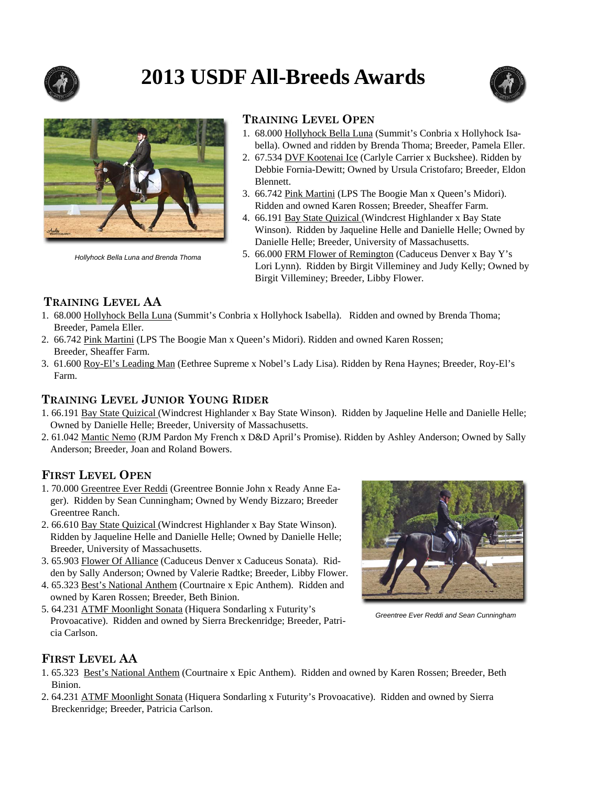

# **2013 USDF All-Breeds Awards**





*Hollyhock Bella Luna and Brenda Thoma* 

#### **TRAINING LEVEL OPEN**

- 1. 68.000 Hollyhock Bella Luna (Summit's Conbria x Hollyhock Isa bella). Owned and ridden by Brenda Thoma; Breeder, Pamela Eller.
- 2. 67.534 DVF Kootenai Ice (Carlyle Carrier x Buckshee). Ridden by Debbie Fornia-Dewitt; Owned by Ursula Cristofaro; Breeder, Eldon Blennett.
- 3. 66.742 Pink Martini (LPS The Boogie Man x Queen's Midori). Ridden and owned Karen Rossen; Breeder, Sheaffer Farm.
- 4. 66.191 Bay State Quizical (Windcrest Highlander x Bay State Winson). Ridden by Jaqueline Helle and Danielle Helle; Owned by Danielle Helle; Breeder, University of Massachusetts.
- 5. 66.000 FRM Flower of Remington (Caduceus Denver x Bay Y's Lori Lynn). Ridden by Birgit Villeminey and Judy Kelly; Owned by Birgit Villeminey; Breeder, Libby Flower.

# **TRAINING LEVEL AA**

- 1. 68.000 Hollyhock Bella Luna (Summit's Conbria x Hollyhock Isabella). Ridden and owned by Brenda Thoma; Breeder, Pamela Eller.
- 2. 66.742 Pink Martini (LPS The Boogie Man x Queen's Midori). Ridden and owned Karen Rossen; Breeder, Sheaffer Farm.
- 3. 61.600 Roy-El's Leading Man (Eethree Supreme x Nobel's Lady Lisa). Ridden by Rena Haynes; Breeder, Roy-El's Farm.

#### **TRAINING LEVEL JUNIOR YOUNG RIDER**

- 1. 66.191 Bay State Quizical (Windcrest Highlander x Bay State Winson). Ridden by Jaqueline Helle and Danielle Helle; Owned by Danielle Helle; Breeder, University of Massachusetts.
- 2. 61.042 Mantic Nemo (RJM Pardon My French x D&D April's Promise). Ridden by Ashley Anderson; Owned by Sally Anderson; Breeder, Joan and Roland Bowers.

#### **FIRST LEVEL OPEN**

- 1. 70.000 Greentree Ever Reddi (Greentree Bonnie John x Ready Anne Eager). Ridden by Sean Cunningham; Owned by Wendy Bizzaro; Breeder Greentree Ranch.
- 2. 66.610 Bay State Quizical (Windcrest Highlander x Bay State Winson). Ridden by Jaqueline Helle and Danielle Helle; Owned by Danielle Helle; Breeder, University of Massachusetts.
- 3. 65.903 Flower Of Alliance (Caduceus Denver x Caduceus Sonata). Ridden by Sally Anderson; Owned by Valerie Radtke; Breeder, Libby Flower.
- 4. 65.323 Best's National Anthem (Courtnaire x Epic Anthem). Ridden and owned by Karen Rossen; Breeder, Beth Binion.
- 5. 64.231 ATMF Moonlight Sonata (Hiquera Sondarling x Futurity's Provoacative). Ridden and owned by Sierra Breckenridge; Breeder, Patricia Carlson.



*Greentree Ever Reddi and Sean Cunningham* 

#### **FIRST LEVEL AA**

- 1. 65.323 Best's National Anthem (Courtnaire x Epic Anthem). Ridden and owned by Karen Rossen; Breeder, Beth Binion.
- 2. 64.231 ATMF Moonlight Sonata (Hiquera Sondarling x Futurity's Provoacative). Ridden and owned by Sierra Breckenridge; Breeder, Patricia Carlson.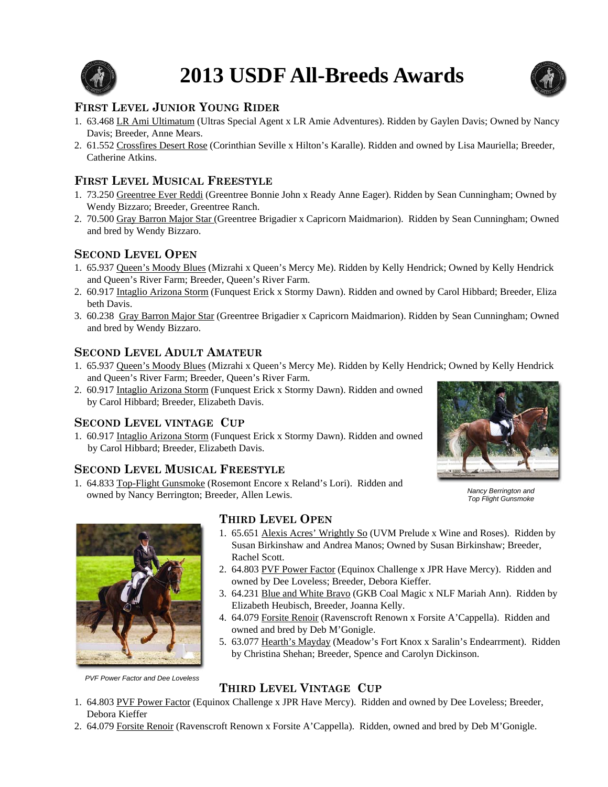

# **2013 USDF All-Breeds Awards**



# **FIRST LEVEL JUNIOR YOUNG RIDER**

- 1. 63.468 LR Ami Ultimatum (Ultras Special Agent x LR Amie Adventures). Ridden by Gaylen Davis; Owned by Nancy Davis; Breeder, Anne Mears.
- 2. 61.552 Crossfires Desert Rose (Corinthian Seville x Hilton's Karalle). Ridden and owned by Lisa Mauriella; Breeder, Catherine Atkins.

### **FIRST LEVEL MUSICAL FREESTYLE**

- 1. 73.250 Greentree Ever Reddi (Greentree Bonnie John x Ready Anne Eager). Ridden by Sean Cunningham; Owned by Wendy Bizzaro; Breeder, Greentree Ranch.
- 2. 70.500 Gray Barron Major Star (Greentree Brigadier x Capricorn Maidmarion). Ridden by Sean Cunningham; Owned and bred by Wendy Bizzaro.

# **SECOND LEVEL OPEN**

- 1. 65.937 Queen's Moody Blues (Mizrahi x Queen's Mercy Me). Ridden by Kelly Hendrick; Owned by Kelly Hendrick and Queen's River Farm; Breeder, Queen's River Farm.
- 2. 60.917 Intaglio Arizona Storm (Funquest Erick x Stormy Dawn). Ridden and owned by Carol Hibbard; Breeder, Eliza beth Davis.
- 3. 60.238 Gray Barron Major Star (Greentree Brigadier x Capricorn Maidmarion). Ridden by Sean Cunningham; Owned and bred by Wendy Bizzaro.

#### **SECOND LEVEL ADULT AMATEUR**

- 1. 65.937 Queen's Moody Blues (Mizrahi x Queen's Mercy Me). Ridden by Kelly Hendrick; Owned by Kelly Hendrick and Queen's River Farm; Breeder, Queen's River Farm.
- 2. 60.917 Intaglio Arizona Storm (Funquest Erick x Stormy Dawn). Ridden and owned by Carol Hibbard; Breeder, Elizabeth Davis.

#### **SECOND LEVEL VINTAGE CUP**

1. 60.917 Intaglio Arizona Storm (Funquest Erick x Stormy Dawn). Ridden and owned by Carol Hibbard; Breeder, Elizabeth Davis.

# **SECOND LEVEL MUSICAL FREESTYLE**

1. 64.833 Top-Flight Gunsmoke (Rosemont Encore x Reland's Lori). Ridden and owned by Nancy Berrington; Breeder, Allen Lewis.



*Nancy Berrington and Top Flight Gunsmoke* 



# **THIRD LEVEL OPEN**

- 1. 65.651 Alexis Acres' Wrightly So (UVM Prelude x Wine and Roses). Ridden by Susan Birkinshaw and Andrea Manos; Owned by Susan Birkinshaw; Breeder, Rachel Scott.
- 2. 64.803 PVF Power Factor (Equinox Challenge x JPR Have Mercy). Ridden and owned by Dee Loveless; Breeder, Debora Kieffer.
- 3. 64.231 Blue and White Bravo (GKB Coal Magic x NLF Mariah Ann). Ridden by Elizabeth Heubisch, Breeder, Joanna Kelly.
- 4. 64.079 Forsite Renoir (Ravenscroft Renown x Forsite A'Cappella). Ridden and owned and bred by Deb M'Gonigle.
- 5. 63.077 Hearth's Mayday (Meadow's Fort Knox x Saralin's Endearrment). Ridden by Christina Shehan; Breeder, Spence and Carolyn Dickinson.

#### *PVF Power Factor and Dee Loveless*

# **THIRD LEVEL VINTAGE CUP**

- 1. 64.803 PVF Power Factor (Equinox Challenge x JPR Have Mercy). Ridden and owned by Dee Loveless; Breeder, Debora Kieffer
- 2. 64.079 Forsite Renoir (Ravenscroft Renown x Forsite A'Cappella). Ridden, owned and bred by Deb M'Gonigle.